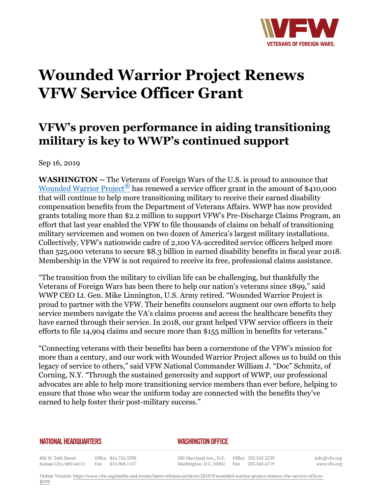

# **Wounded Warrior Project Renews VFW Service Officer Grant**

## **VFW's proven performance in aiding transitioning military is key to WWP's continued support**

Sep 16, 2019

**WASHINGTON –** The Veterans of Foreign Wars of the U.S. is proud to announce that Wounded Warrior Project<sup> $\mathbb{B}$ </sup> has renewed a service officer grant in the amount of \$410,000 that will continue to help more transitioning military to receive their earned disability compensation benefits from the Department of Veterans Affairs. WWP has now provided grants totaling more than \$2.2 million to support VFW's Pre-Discharge Claims Program, an effort that last year enabled the VFW to file thousands of claims on behalf of transitioning military servicemen and women on two dozen of America's largest military installations. Collectively, VFW's nationwide cadre of 2,100 VA-accredited service officers helped more than 525,000 veterans to secure \$8.3 billion in earned disability benefits in fiscal year 2018. Membership in the VFW is not required to receive its free, professional claims assistance.

"The transition from the military to civilian life can be challenging, but thankfully the Veterans of Foreign Wars has been there to help our nation's veterans since 1899," said WWP CEO Lt. Gen. Mike Linnington, U.S. Army retired. "Wounded Warrior Project is proud to partner with the VFW. Their benefits counselors augment our own efforts to help service members navigate the VA's claims process and access the healthcare benefits they have earned through their service. In 2018, our grant helped VFW service officers in their efforts to file 14,904 claims and secure more than \$155 million in benefits for veterans."

"Connecting veterans with their benefits has been a cornerstone of the VFW's mission for more than a century, and our work with Wounded Warrior Project allows us to build on this legacy of service to others," said VFW National Commander William J. "Doc" Schmitz, of Corning, N.Y. "Through the sustained generosity and support of WWP, our professional advocates are able to help more transitioning service members than ever before, helping to ensure that those who wear the uniform today are connected with the benefits they've earned to help foster their post-military success."

#### **NATIONAL HEADQUARTERS**

#### *WASHINGTON OFFICE*

406 W. 34th Street Kansas City, MO 64111

Office 816.756.3390 Fax 816.968.1157

200 Maryland Ave., N.E. Washington, D.C. 20002

Office 202.543.2239 Fax 202.543.6719 info@vfw.org www.vfw.org

Online Version: [https://www.vfw.org/media-and-events/latest-releases/archives/2019/9/wounded-warrior-project-renews-vfw-service-officer](https://www.vfw.org/media-and-events/latest-releases/archives/2019/9/wounded-warrior-project-renews-vfw-service-officer-grant)[grant](https://www.vfw.org/media-and-events/latest-releases/archives/2019/9/wounded-warrior-project-renews-vfw-service-officer-grant)